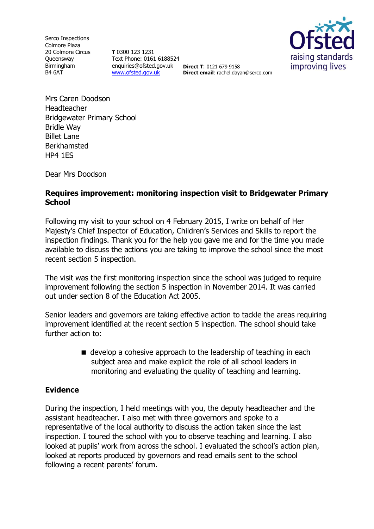Serco Inspections Colmore Plaza 20 Colmore Circus **Oueensway** Birmingham B4 6AT

**T** 0300 123 1231 Text Phone: 0161 6188524 enquiries@ofsted.gov.uk **Direct T**: 0121 679 9158 [www.ofsted.gov.uk](http://www.ofsted.gov.uk/)



**Direct email**: rachel.dayan@serco.com

Mrs Caren Doodson Headteacher Bridgewater Primary School Bridle Way Billet Lane Berkhamsted HP4 1ES

Dear Mrs Doodson

## **Requires improvement: monitoring inspection visit to Bridgewater Primary School**

Following my visit to your school on 4 February 2015, I write on behalf of Her Majesty's Chief Inspector of Education, Children's Services and Skills to report the inspection findings. Thank you for the help you gave me and for the time you made available to discuss the actions you are taking to improve the school since the most recent section 5 inspection.

The visit was the first monitoring inspection since the school was judged to require improvement following the section 5 inspection in November 2014. It was carried out under section 8 of the Education Act 2005.

Senior leaders and governors are taking effective action to tackle the areas requiring improvement identified at the recent section 5 inspection. The school should take further action to:

> $\blacksquare$  develop a cohesive approach to the leadership of teaching in each subject area and make explicit the role of all school leaders in monitoring and evaluating the quality of teaching and learning.

## **Evidence**

During the inspection, I held meetings with you, the deputy headteacher and the assistant headteacher. I also met with three governors and spoke to a representative of the local authority to discuss the action taken since the last inspection. I toured the school with you to observe teaching and learning. I also looked at pupils' work from across the school. I evaluated the school's action plan, looked at reports produced by governors and read emails sent to the school following a recent parents' forum.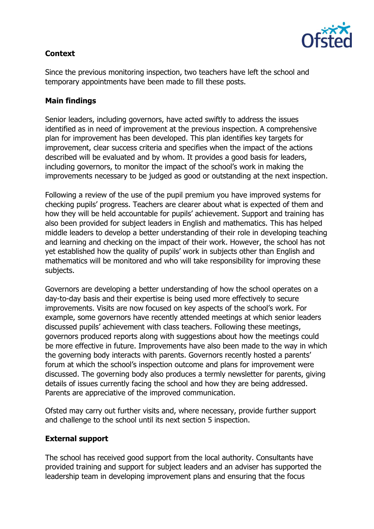

# **Context**

Since the previous monitoring inspection, two teachers have left the school and temporary appointments have been made to fill these posts.

## **Main findings**

Senior leaders, including governors, have acted swiftly to address the issues identified as in need of improvement at the previous inspection. A comprehensive plan for improvement has been developed. This plan identifies key targets for improvement, clear success criteria and specifies when the impact of the actions described will be evaluated and by whom. It provides a good basis for leaders, including governors, to monitor the impact of the school's work in making the improvements necessary to be judged as good or outstanding at the next inspection.

Following a review of the use of the pupil premium you have improved systems for checking pupils' progress. Teachers are clearer about what is expected of them and how they will be held accountable for pupils' achievement. Support and training has also been provided for subject leaders in English and mathematics. This has helped middle leaders to develop a better understanding of their role in developing teaching and learning and checking on the impact of their work. However, the school has not yet established how the quality of pupils' work in subjects other than English and mathematics will be monitored and who will take responsibility for improving these subjects.

Governors are developing a better understanding of how the school operates on a day-to-day basis and their expertise is being used more effectively to secure improvements. Visits are now focused on key aspects of the school's work. For example, some governors have recently attended meetings at which senior leaders discussed pupils' achievement with class teachers. Following these meetings, governors produced reports along with suggestions about how the meetings could be more effective in future. Improvements have also been made to the way in which the governing body interacts with parents. Governors recently hosted a parents' forum at which the school's inspection outcome and plans for improvement were discussed. The governing body also produces a termly newsletter for parents, giving details of issues currently facing the school and how they are being addressed. Parents are appreciative of the improved communication.

Ofsted may carry out further visits and, where necessary, provide further support and challenge to the school until its next section 5 inspection.

## **External support**

The school has received good support from the local authority. Consultants have provided training and support for subject leaders and an adviser has supported the leadership team in developing improvement plans and ensuring that the focus